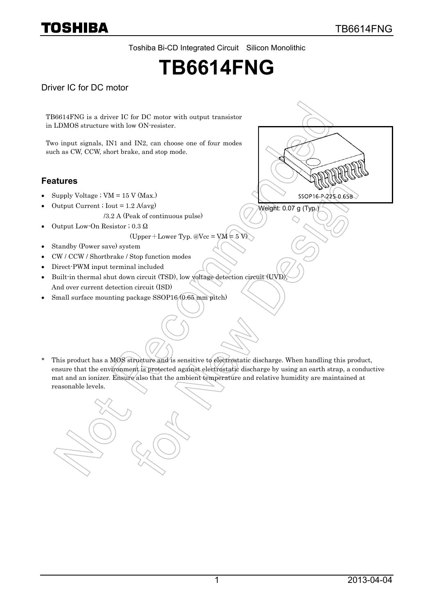Toshiba Bi-CD Integrated Circuit Silicon Monolithic

# **TB6614FNG**

### Driver IC for DC motor

TB6614FNG is a driver IC for DC motor with output transistor in LDMOS structure with low ON-resister.

Two input signals, IN1 and IN2, can choose one of four modes such as CW, CCW, short brake, and stop mode.

#### **Features**

- Supply Voltage ;  $VM = 15$  V (Max.)
- Output Current ; Iout =  $1.2$  A(avg)
	- /3.2 A (Peak of continuous pulse)
	- Output Low-On Resistor ; 0.3 Ω

(Upper+Lower Typ.  $@Vec = VM = 5 V$ )

- Standby (Power save) system
- CW / CCW / Shortbrake / Stop function modes
- Direct-PWM input terminal included
- Built-in thermal shut down circuit (TSD), low voltage detection circuit (UVD), And over current detection circuit (ISD)
- Small surface mounting package SSOP16 (0.65 mm pitch)





\* This product has a MOS structure and is sensitive to electrostatic discharge. When handling this product, ensure that the environment is protected against electrostatic discharge by using an earth strap, a conductive mat and an ionizer. Ensure also that the ambient temperature and relative humidity are maintained at reasonable levels.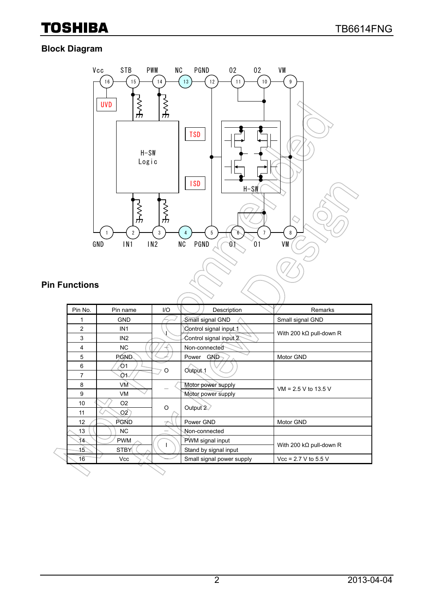### **Block Diagram**



### **Pin Functions**

| Pin No. | Pin name         | 1/O      | Description               | Remarks                         |  |
|---------|------------------|----------|---------------------------|---------------------------------|--|
| 1       | <b>GND</b>       |          | Small signal GND          | Small signal GND                |  |
| 2       | IN <sub>1</sub>  |          | Control signal input 1    |                                 |  |
| 3       | IN <sub>2</sub>  |          | Control signal input 2    | With 200 k $\Omega$ pull-down R |  |
| 4       | NC.              |          | Non-connected             |                                 |  |
| 5       | PGN <sub>D</sub> |          | <b>GND</b><br>Power       | Motor GND                       |  |
| 6       | O1               | O        |                           |                                 |  |
| 7       | O٦               |          | Output <sub>1</sub>       |                                 |  |
| 8       | VM               |          | Motor power supply        | $VM = 2.5 V to 13.5 V$          |  |
| 9       | <b>VM</b>        |          | Motor power supply        |                                 |  |
| 10      | O <sub>2</sub>   | $\Omega$ | Output 2                  |                                 |  |
| 11      | O2               |          |                           |                                 |  |
| 12      | <b>PGND</b>      |          | Power GND                 | Motor GND                       |  |
| 13      | <b>NC</b>        |          | Non-connected             |                                 |  |
| 14.     | <b>PWM</b>       |          | PWM signal input          | With 200 k $\Omega$ pull-down R |  |
| 15      | <b>STBY</b>      |          | Stand by signal input     |                                 |  |
| 16      | <b>Vcc</b>       |          | Small signal power supply | $Vec = 2.7 V to 5.5 V$          |  |
|         |                  |          |                           |                                 |  |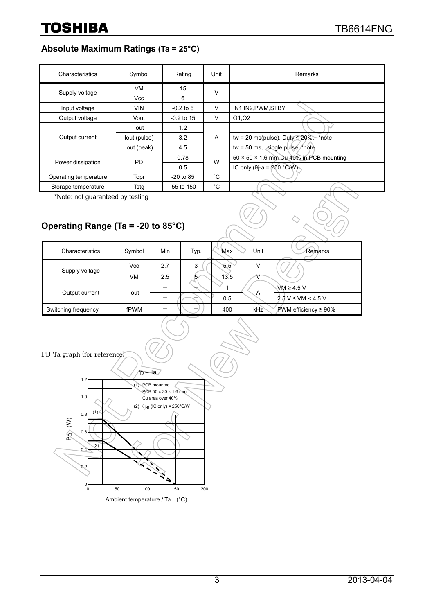### **Absolute Maximum Ratings (Ta = 25°C)**

| Characteristics       | Symbol       | Rating       | Unit | <b>Remarks</b>                                      |
|-----------------------|--------------|--------------|------|-----------------------------------------------------|
|                       | VM           | 15           | v    |                                                     |
| Supply voltage        | Vcc          | 6            |      |                                                     |
| Input voltage         | <b>VIN</b>   | $-0.2$ to 6  | v    | IN1, IN2, PWM, STBY                                 |
| Output voltage        | Vout         | $-0.2$ to 15 | V    | 01,02                                               |
|                       | lout         | 1.2          | A    |                                                     |
| Output current        | lout (pulse) | 3.2          |      | tw = 20 ms(pulse), Duty $\leq$ 20%, *note           |
|                       | lout (peak)  | 4.5          |      | tw = 50 ms, single pulse, note                      |
| Power dissipation     | <b>PD</b>    | 0.78         | W    | $50 \times 50 \times 1.6$ mm Cu 40% in PCB mounting |
|                       |              | 0.5          |      | IC only ( $\theta$ j-a = 250 °C/W)                  |
| Operating temperature | Topr         | $-20$ to 85  | °C   |                                                     |
| Storage temperature   | Tstg         | $-55$ to 150 | °C   |                                                     |

\*Note: not guaranteed by testing

### **Operating Range (Ta = -20 to 85°C)**

| Characteristics     | Symbol     | Min | Typ. | Max           | Unit | Remarks                |
|---------------------|------------|-----|------|---------------|------|------------------------|
| Supply voltage      | <b>Vcc</b> | 2.7 | 3    | $5.5^{\circ}$ | V    |                        |
|                     | VM         | 2.5 | 5    | 13.5          |      |                        |
|                     |            |     |      |               |      | $VM \geq 4.5 V$        |
| Output current      | lout       |     |      | 0.5           | A    | $2.5 V \le VM < 4.5 V$ |
| Switching frequency | fPWM       |     |      | 400           | kHz  | PWM efficiency ≥ 90%   |

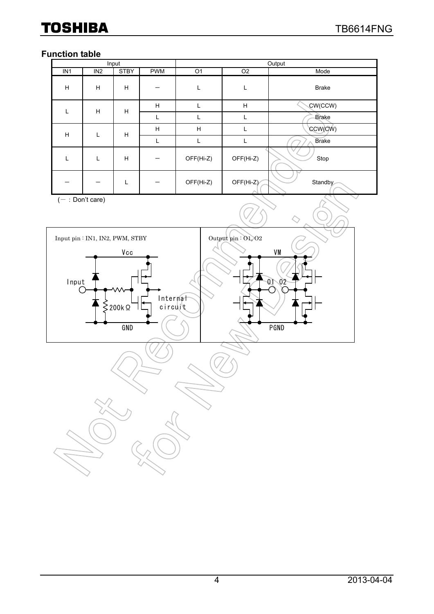### **Function table**

| Input           |                 |             |            | Output         |                |              |  |  |
|-----------------|-----------------|-------------|------------|----------------|----------------|--------------|--|--|
| IN <sub>1</sub> | IN <sub>2</sub> | <b>STBY</b> | <b>PWM</b> | O <sub>1</sub> | O <sub>2</sub> | Mode         |  |  |
| H               | H               | H           |            |                | L              | <b>Brake</b> |  |  |
|                 | H               | H           | H          |                | H              | CW(CCW)      |  |  |
|                 |                 |             | L          |                | L              | <b>Brake</b> |  |  |
| H               | L               | H           | H          | H              | L              | CCW(CW)      |  |  |
|                 |                 |             | L          |                | L              | <b>Brake</b> |  |  |
|                 | L               | H           |            | OFF(Hi-Z)      | OFF(Hi-Z)      | Stop         |  |  |
|                 |                 |             |            | OFF(Hi-Z)      | $OFF(Hi-Z)$    | Standby      |  |  |

 $(-:Don't care)$ 

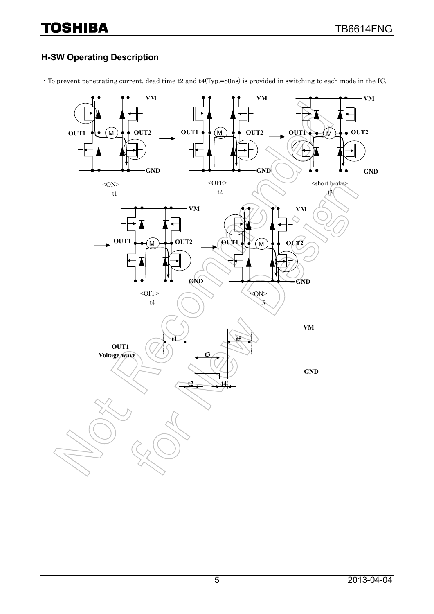### **H-SW Operating Description**

・To prevent penetrating current, dead time t2 and t4(Typ.=80ns) is provided in switching to each mode in the IC.

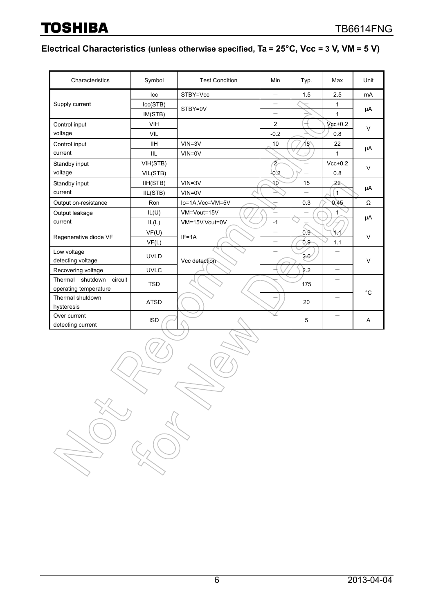## **Electrical Characteristics (unless otherwise specified, Ta = 25°C, Vcc = 3 V, VM = 5 V)**

| Characteristics             | Symbol         | <b>Test Condition</b> | Min                      | Typ.                     | Max                      | Unit        |
|-----------------------------|----------------|-----------------------|--------------------------|--------------------------|--------------------------|-------------|
|                             | Icc            | STBY=Vcc              | -                        | 1.5                      | 2.5                      | mA          |
| Supply current              | lcc(STB)       | STBY=0V               |                          |                          | 1                        |             |
|                             | IM(STB)        |                       |                          |                          | $\mathbf{1}$             | μA          |
| Control input               | VIH            |                       | 2                        |                          | $Vcc+0.2$                | $\vee$      |
| voltage                     | <b>VIL</b>     |                       | $-0.2$                   |                          | 0.8                      |             |
| Control input               | <b>IIH</b>     | $VIN = 3V$            | 10                       | 15^                      | 22                       |             |
| current                     | <b>IIL</b>     | $VIN = 0V$            |                          |                          | 1                        | μA          |
| Standby input               | VIH(STB)       |                       | 2                        |                          | $Vcc+0.2$                | $\vee$      |
| voltage                     | VIL(STB)       |                       | 20.2                     | $\overline{\phantom{0}}$ | 0.8                      |             |
| Standby input               | IIH(STB)       | $VIN = 3V$            | 10                       | 15                       | 22                       |             |
| current                     | IIL(STB)       | $VIN = 0V$            |                          |                          | 1                        | μA          |
| Output on-resistance        | Ron            | lo=1A, Vcc=VM=5V      |                          | 0.3                      | 0.45                     | Ω           |
| Output leakage              | IL(U)          | VM=Vout=15V           |                          | -                        |                          |             |
| current                     | IL(L)          | VM=15V, Vout=0V       | $-1$                     |                          |                          | μA          |
| Regenerative diode VF       | VF(U)<br>VF(L) | $IF = 1A$             | $\overline{\phantom{0}}$ | 0.9                      | Ч.1                      | $\vee$      |
|                             |                |                       |                          | 0.9                      | 1.1                      |             |
| Low voltage                 | <b>UVLD</b>    |                       |                          | 20                       |                          | $\vee$      |
| detecting voltage           |                | Vcc detection         |                          |                          |                          |             |
| Recovering voltage          | <b>UVLC</b>    |                       |                          | 2.2                      | $\overline{\phantom{0}}$ |             |
| Thermal shutdown<br>circuit | <b>TSD</b>     |                       |                          | 175                      |                          |             |
| operating temperature       |                |                       |                          |                          |                          | $^{\circ}C$ |
| Thermal shutdown            | <b>ATSD</b>    |                       |                          | 20                       |                          |             |
| hysteresis                  |                |                       |                          |                          |                          |             |
| Over current                | <b>ISD</b>     |                       |                          | 5                        | $\overline{\phantom{0}}$ | A           |
| detecting current           |                |                       |                          |                          |                          |             |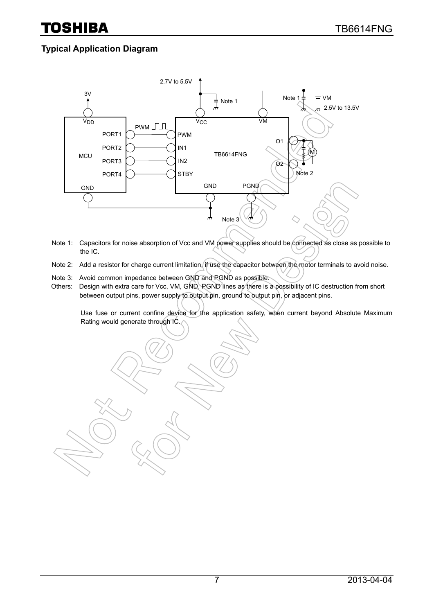### **Typical Application Diagram**



- Note 1: Capacitors for noise absorption of Vcc and VM power supplies should be connected as close as possible to the IC.
- Note 2: Add a resistor for charge current limitation, if use the capacitor between the motor terminals to avoid noise.
- Note 3: Avoid common impedance between GND and PGND as possible.
- Others: Design with extra care for Vcc, VM, GND, PGND lines as there is a possibility of IC destruction from short between output pins, power supply to output pin, ground to output pin, or adjacent pins.

Use fuse or current confine device for the application safety, when current beyond Absolute Maximum Rating would generate through IC.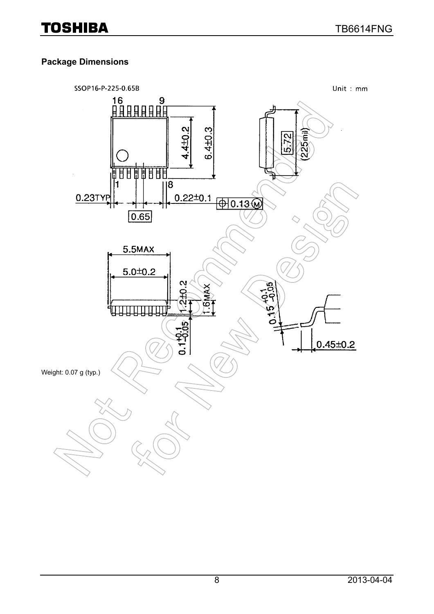### **Package Dimensions**

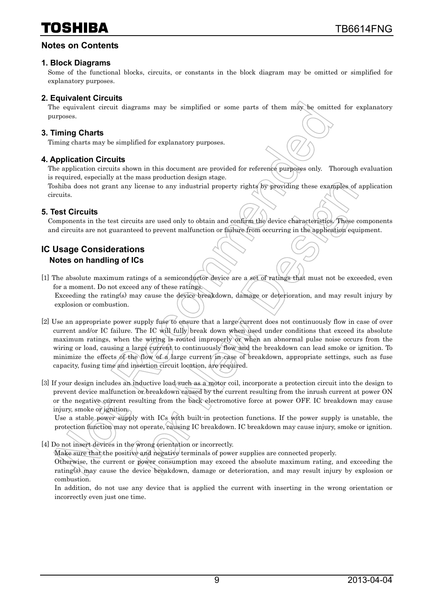### **Notes on Contents**

### **1. Block Diagrams**

Some of the functional blocks, circuits, or constants in the block diagram may be omitted or simplified for explanatory purposes.

### **2. Equivalent Circuits**

The equivalent circuit diagrams may be simplified or some parts of them may be omitted for explanatory purposes.

### **3. Timing Charts**

Timing charts may be simplified for explanatory purposes.

### **4. Application Circuits**

The application circuits shown in this document are provided for reference purposes only. Thorough evaluation is required, especially at the mass production design stage.

Toshiba does not grant any license to any industrial property rights by providing these examples of application circuits.

### **5. Test Circuits**

Components in the test circuits are used only to obtain and confirm the device characteristics. These components and circuits are not guaranteed to prevent malfunction or failure from occurring in the application equipment.

### **IC Usage Considerations Notes on handling of ICs**

- [1] The absolute maximum ratings of a semiconductor device are a set of ratings that must not be exceeded, even for a moment. Do not exceed any of these ratings. Exceeding the rating(s) may cause the device breakdown, damage or deterioration, and may result injury by explosion or combustion.
- [2] Use an appropriate power supply fuse to ensure that a large current does not continuously flow in case of over current and/or IC failure. The IC will fully break down when used under conditions that exceed its absolute maximum ratings, when the wiring is routed improperly or when an abnormal pulse noise occurs from the wiring or load, causing a large current to continuously flow and the breakdown can lead smoke or ignition. To minimize the effects of the flow of a large current in case of breakdown, appropriate settings, such as fuse capacity, fusing time and insertion circuit location, are required.
- [3] If your design includes an inductive load such as a motor coil, incorporate a protection circuit into the design to prevent device malfunction or breakdown caused by the current resulting from the inrush current at power ON or the negative current resulting from the back electromotive force at power OFF. IC breakdown may cause injury, smoke or ignition.

Use a stable power supply with ICs with built-in protection functions. If the power supply is unstable, the protection function may not operate, causing IC breakdown. IC breakdown may cause injury, smoke or ignition.

[4] Do not insert devices in the wrong orientation or incorrectly.

Make sure that the positive and negative terminals of power supplies are connected properly.

Otherwise, the current or power consumption may exceed the absolute maximum rating, and exceeding the rating(s) may cause the device breakdown, damage or deterioration, and may result injury by explosion or combustion.

In addition, do not use any device that is applied the current with inserting in the wrong orientation or incorrectly even just one time.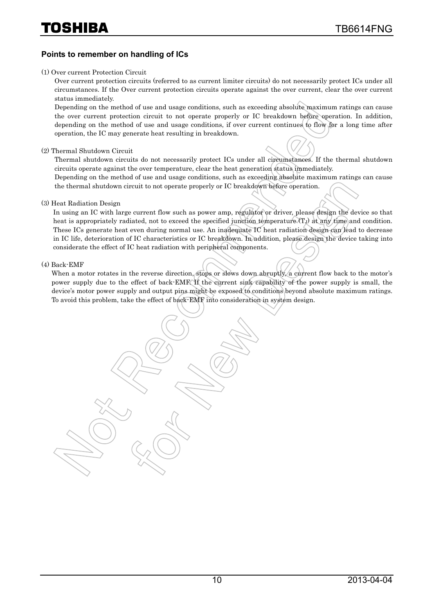#### **Points to remember on handling of ICs**

#### (1) Over current Protection Circuit

Over current protection circuits (referred to as current limiter circuits) do not necessarily protect ICs under all circumstances. If the Over current protection circuits operate against the over current, clear the over current status immediately.

Depending on the method of use and usage conditions, such as exceeding absolute maximum ratings can cause the over current protection circuit to not operate properly or IC breakdown before operation. In addition, depending on the method of use and usage conditions, if over current continues to flow for a long time after operation, the IC may generate heat resulting in breakdown.

#### (2) Thermal Shutdown Circuit

Thermal shutdown circuits do not necessarily protect ICs under all circumstances. If the thermal shutdown circuits operate against the over temperature, clear the heat generation status immediately.

Depending on the method of use and usage conditions, such as exceeding absolute maximum ratings can cause the thermal shutdown circuit to not operate properly or IC breakdown before operation.

#### (3) Heat Radiation Design

In using an IC with large current flow such as power amp, regulator or driver, please design the device so that heat is appropriately radiated, not to exceed the specified junction temperature  $(T<sub>J</sub>)$  at any time and condition. These ICs generate heat even during normal use. An inadequate IC heat radiation design can lead to decrease in IC life, deterioration of IC characteristics or IC breakdown. In addition, please design the device taking into considerate the effect of IC heat radiation with peripheral components.

#### (4) Back-EMF

When a motor rotates in the reverse direction, stops or slows down abruptly, a current flow back to the motor's power supply due to the effect of back-EMF. If the current sink capability of the power supply is small, the device's motor power supply and output pins might be exposed to conditions beyond absolute maximum ratings. To avoid this problem, take the effect of back-EMF into consideration in system design.